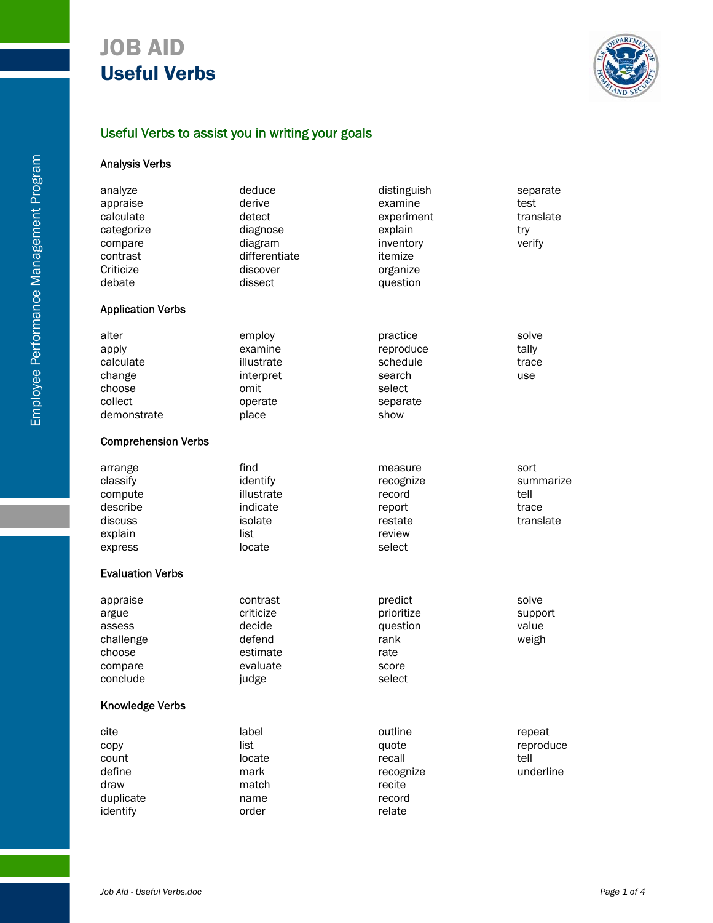

## Useful Verbs to assist you in writing your goals

## Analysis Verbs

| analyze                    | deduce        | distinguish | separate  |
|----------------------------|---------------|-------------|-----------|
| appraise                   | derive        | examine     | test      |
| calculate                  | detect        | experiment  | translate |
| categorize                 | diagnose      | explain     | try       |
| compare                    | diagram       | inventory   | verify    |
| contrast                   | differentiate | itemize     |           |
| Criticize                  | discover      | organize    |           |
| debate                     | dissect       | question    |           |
| <b>Application Verbs</b>   |               |             |           |
| alter                      | employ        | practice    | solve     |
| apply                      | examine       | reproduce   | tally     |
| calculate                  | illustrate    | schedule    | trace     |
| change                     | interpret     | search      | use       |
| choose                     | omit          | select      |           |
| collect                    | operate       | separate    |           |
| demonstrate                | place         | show        |           |
| <b>Comprehension Verbs</b> |               |             |           |
| arrange                    | find          | measure     | sort      |
| classify                   | identify      | recognize   | summarize |
| compute                    | illustrate    | record      | tell      |
| describe                   | indicate      | report      | trace     |
| discuss                    | isolate       | restate     | translate |
| explain                    | list          | review      |           |
| express                    | locate        | select      |           |
| <b>Evaluation Verbs</b>    |               |             |           |
| appraise                   | contrast      | predict     | solve     |
| argue                      | criticize     | prioritize  | support   |
| assess                     | decide        | question    | value     |
| challenge                  | defend        | rank        | weigh     |
| choose                     | estimate      | rate        |           |
| compare                    | evaluate      | score       |           |
| conclude                   | judge         | select      |           |
| <b>Knowledge Verbs</b>     |               |             |           |
| cite                       | label         | outline     | repeat    |
| copy                       | list          | quote       | reproduce |
| count                      | locate        | recall      | tell      |
| define                     | mark          | recognize   | underline |
| draw                       | match         | recite      |           |
| duplicate                  | name          | record      |           |
| identify                   | order         | relate      |           |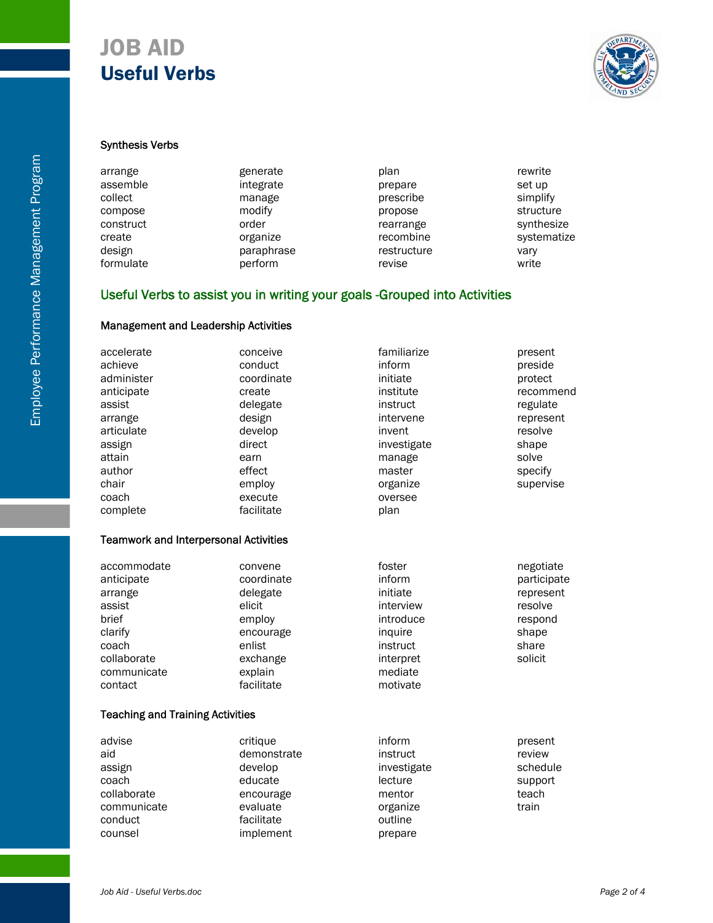

#### Synthesis Verbs

| arrange   | generate   | plan        | rewrite     |
|-----------|------------|-------------|-------------|
| assemble  | integrate  | prepare     | set up      |
| collect   | manage     | prescribe   | simplify    |
| compose   | modify     | propose     | structure   |
| construct | order      | rearrange   | synthesize  |
| create    | organize   | recombine   | systematize |
| design    | paraphrase | restructure | vary        |
| formulate | perform    | revise      | write       |

## Useful Verbs to assist you in writing your goals -Grouped into Activities

#### Management and Leadership Activities

| accelerate                                   | conceive    | familiarize | present     |
|----------------------------------------------|-------------|-------------|-------------|
| achieve                                      | conduct     | inform      | preside     |
| administer                                   | coordinate  | initiate    | protect     |
| anticipate                                   | create      | institute   | recommend   |
| assist                                       | delegate    | instruct    | regulate    |
| arrange                                      | design      | intervene   | represent   |
| articulate                                   | develop     | invent      | resolve     |
| assign                                       | direct      | investigate | shape       |
| attain                                       | earn        | manage      | solve       |
| author                                       | effect      | master      | specify     |
| chair                                        | employ      | organize    | supervise   |
| coach                                        | execute     | oversee     |             |
| complete                                     | facilitate  | plan        |             |
| <b>Teamwork and Interpersonal Activities</b> |             |             |             |
| accommodate                                  | convene     | foster      | negotiate   |
| anticipate                                   | coordinate  | inform      | participate |
| arrange                                      | delegate    | initiate    | represent   |
| assist                                       | elicit      | interview   | resolve     |
| brief                                        | employ      | introduce   | respond     |
| clarify                                      | encourage   | inquire     | shape       |
| coach                                        | enlist      | instruct    | share       |
| collaborate                                  | exchange    | interpret   | solicit     |
| communicate                                  | explain     | mediate     |             |
| contact                                      | facilitate  | motivate    |             |
| <b>Teaching and Training Activities</b>      |             |             |             |
| advise                                       | critique    | inform      | present     |
| aid                                          | demonstrate | instruct    | review      |
| assign                                       | develop     | investigate | schedule    |
| coach                                        | educate     | lecture     | support     |
| collaborate                                  | encourage   | mentor      | teach       |
| communicate                                  | evaluate    | organize    | train       |
| conduct                                      | facilitate  | outline     |             |

counsel implement prepare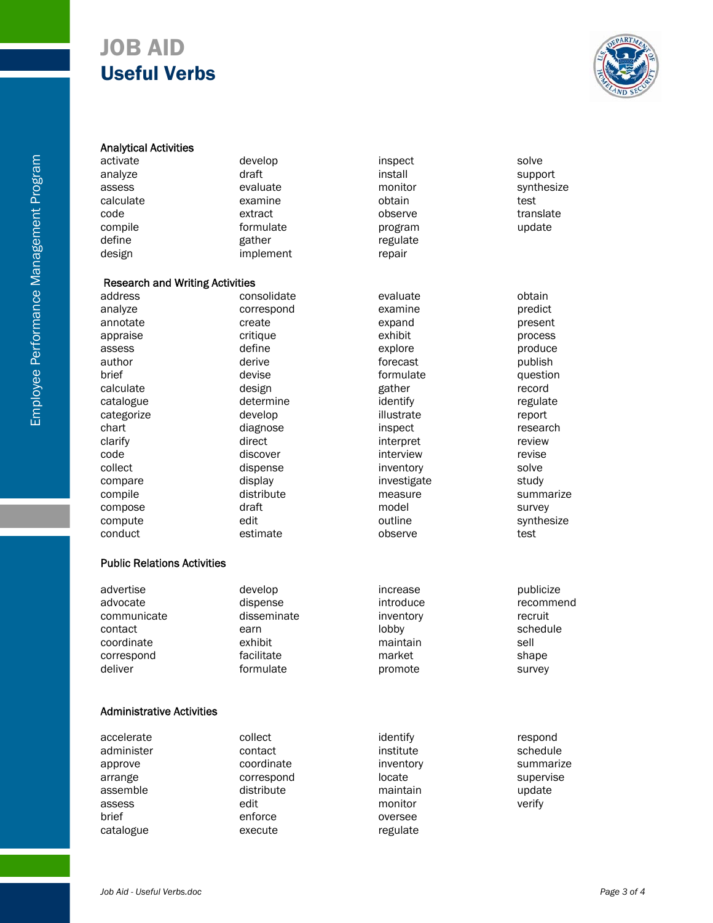

| <b>Analytical Activities</b>           |             |             |            |
|----------------------------------------|-------------|-------------|------------|
| activate                               | develop     | inspect     | solve      |
| analyze                                | draft       | install     | support    |
| assess                                 | evaluate    | monitor     | synthesize |
| calculate                              | examine     | obtain      | test       |
| code                                   | extract     | observe     | translate  |
| compile                                | formulate   | program     | update     |
| define                                 | gather      | regulate    |            |
| design                                 | implement   | repair      |            |
| <b>Research and Writing Activities</b> |             |             |            |
| address                                | consolidate | evaluate    | obtain     |
| analyze                                | correspond  | examine     | predict    |
| annotate                               | create      | expand      | present    |
| appraise                               | critique    | exhibit     | process    |
| assess                                 | define      | explore     | produce    |
| author                                 | derive      | forecast    | publish    |
| brief                                  | devise      | formulate   | question   |
| calculate                              | design      | gather      | record     |
| catalogue                              | determine   | identify    | regulate   |
| categorize                             | develop     | illustrate  | report     |
| chart                                  | diagnose    | inspect     | research   |
| clarify                                | direct      | interpret   | review     |
| code                                   | discover    | interview   | revise     |
| collect                                | dispense    | inventory   | solve      |
| compare                                | display     | investigate | study      |
| compile                                | distribute  | measure     | summarize  |
| compose                                | draft       | model       | survey     |
| compute                                | edit        | outline     | synthesize |
| conduct                                | estimate    | observe     | test       |
| <b>Public Relations Activities</b>     |             |             |            |
| advertise                              | develop     | increase    | publicize  |
| advocate                               | dispense    | introduce   | recommend  |
| communicate                            | disseminate | inventory   | recruit    |
| contact                                | earn        | lobby       | schedule   |
| coordinate                             | exhibit     | maintain    | sell       |
| correspond                             | facilitate  | market      | shape      |
| deliver                                | formulate   | promote     | survey     |
| <b>Administrative Activities</b>       |             |             |            |
|                                        |             |             |            |
| accelerate                             | collect     | identify    | respond    |
| administer                             | contact     | institute   | schedule   |
| approve                                | coordinate  | inventory   | summarize  |
| arrange                                | correspond  | locate      | supervise  |
| assemble                               | distribute  | maintain    | update     |
| assess                                 | edit        | monitor     | verify     |
| brief                                  | enforce     | oversee     |            |

catalogue execute regulate